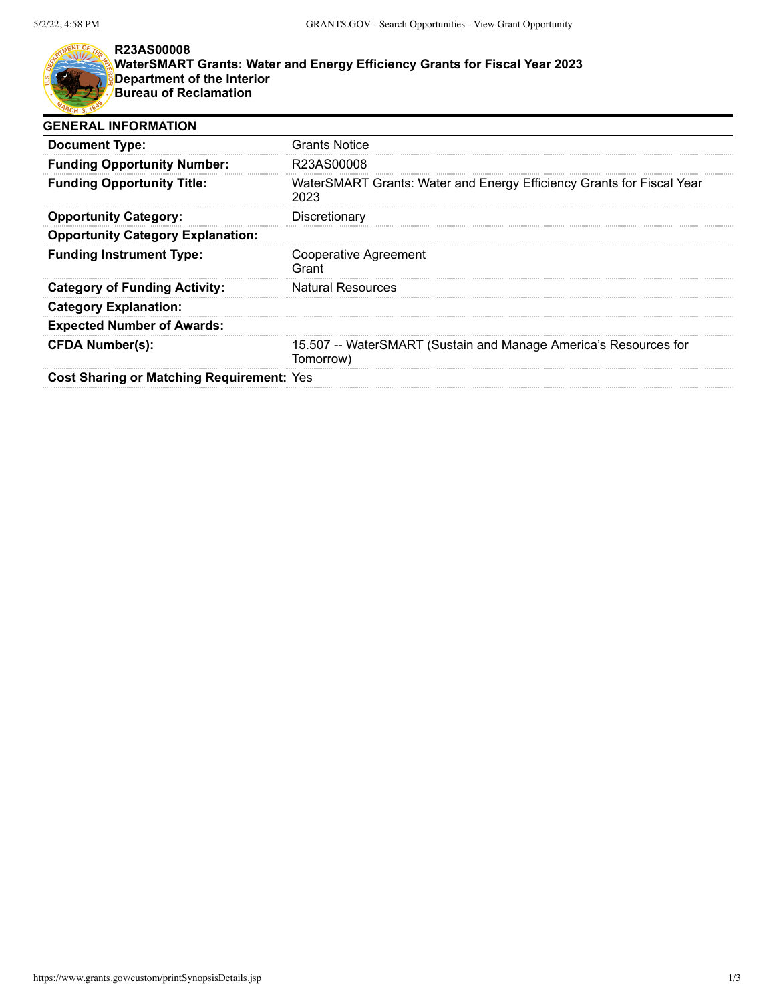

## **R23AS00008**

**WaterSMART Grants: Water and Energy Efficiency Grants for Fiscal Year 2023 Department of the Interior Bureau of Reclamation**

| <b>GENERAL INFORMATION</b>                       |                                                                               |  |
|--------------------------------------------------|-------------------------------------------------------------------------------|--|
| <b>Document Type:</b>                            | <b>Grants Notice</b>                                                          |  |
| <b>Funding Opportunity Number:</b>               | R23AS00008                                                                    |  |
| <b>Funding Opportunity Title:</b>                | WaterSMART Grants: Water and Energy Efficiency Grants for Fiscal Year<br>2023 |  |
| <b>Opportunity Category:</b>                     | Discretionary                                                                 |  |
| <b>Opportunity Category Explanation:</b>         |                                                                               |  |
| <b>Funding Instrument Type:</b>                  | Cooperative Agreement<br>Grant                                                |  |
| <b>Category of Funding Activity:</b>             | <b>Natural Resources</b>                                                      |  |
| <b>Category Explanation:</b>                     |                                                                               |  |
| <b>Expected Number of Awards:</b>                |                                                                               |  |
| <b>CFDA Number(s):</b>                           | 15.507 -- WaterSMART (Sustain and Manage America's Resources for<br>Tomorrow) |  |
| <b>Cost Sharing or Matching Requirement: Yes</b> |                                                                               |  |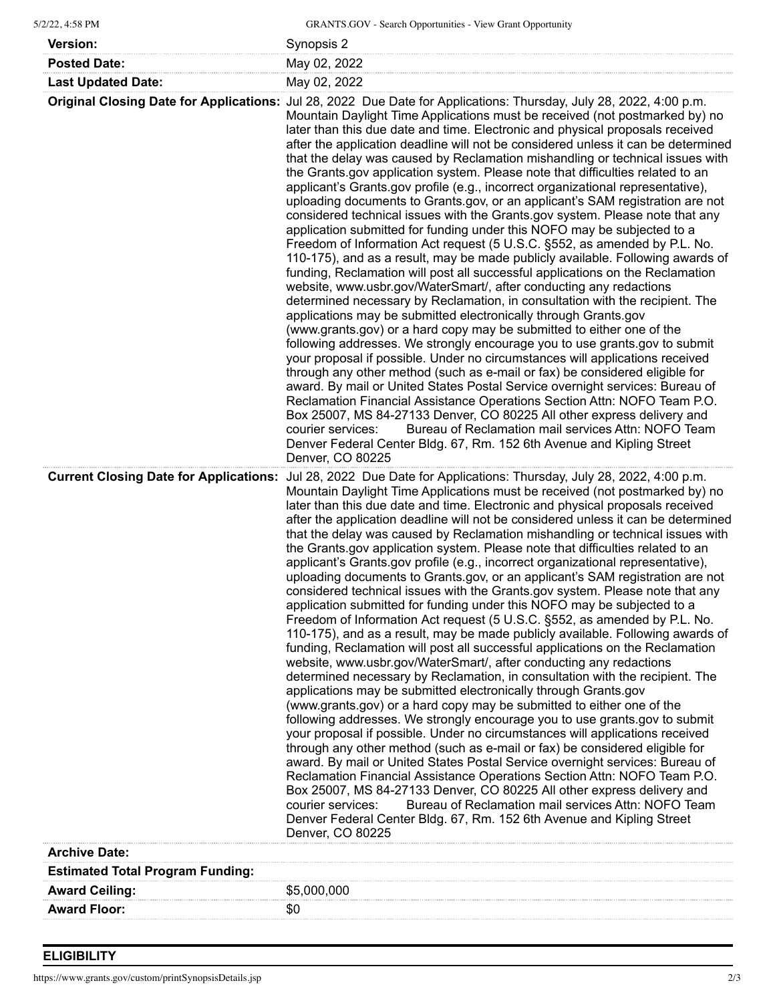| 5/2/22, 4:58 PM |  |
|-----------------|--|
|                 |  |

| <b>Version:</b>           | Synopsis 2   |
|---------------------------|--------------|
| <b>Posted Date:</b>       | May 02, 2022 |
| <b>Last Updated Date:</b> | May 02, 2022 |

| <b>Estimated Total Program Funding:</b> |  |
|-----------------------------------------|--|
| \$5,000,000<br><b>Award Ceiling:</b>    |  |
| <b>Award Floor:</b><br>SC               |  |

## **ELIGIBILITY**